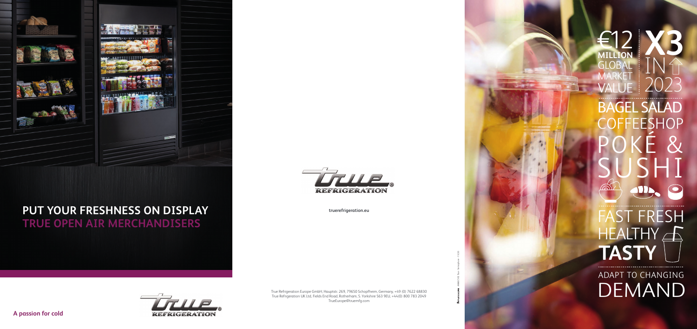

# REFRIGERATION

**A passion for cold**



## **PUT YOUR FRESHNESS ON DISPLAY TRUE OPEN AIR MERCHANDISERS**



True Refrigeration Europe GmbH, Hauptstr. 269, 79650 Schopfheim, Germany, +49 (0) 7622 68830 True Refrigeration UK Ltd, Fields End Road, Rotherham, S. Yorkshire S63 9EU, +44(0) 800 783 2049 TrueEurope@truemfg.com

ANNECY © True - Semaphore - 11/20

**truerefrigeration.eu**

ADAPT TO CHANGING DEMAND

**X3** €12 **MILLION** IN **GLOBAL** MARKET 2023 VALUE BAGEL SALAD **COFFEESHOP** POKÉ & SUSHI **TID**  $\bullet$ ST FRESH HEALTHY A **TASTY**